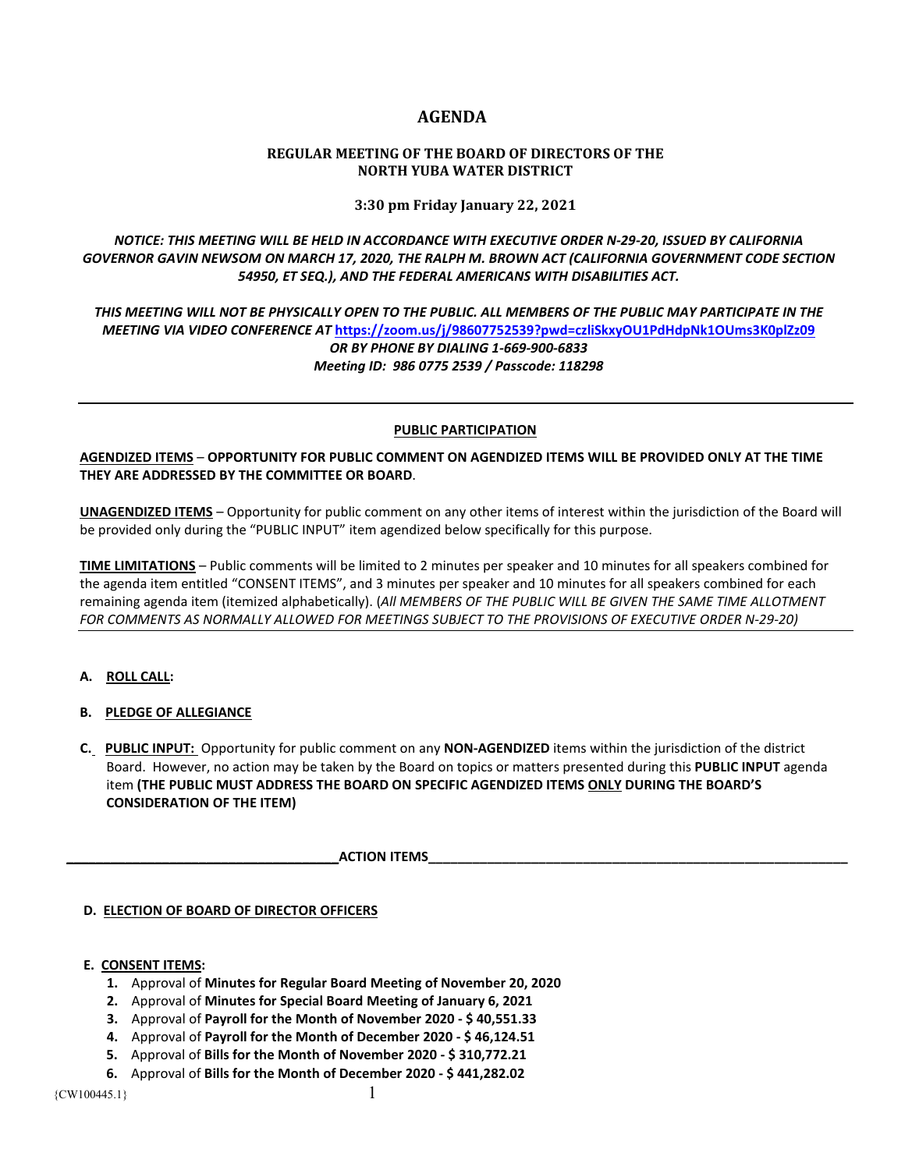# **AGENDA**

# **REGULAR MEETING OF THE BOARD OF DIRECTORS OF THE NORTH YUBA WATER DISTRICT**

**3:30 pm Friday January 22, 2021**

*NOTICE: THIS MEETING WILL BE HELD IN ACCORDANCE WITH EXECUTIVE ORDER N-29-20, ISSUED BY CALIFORNIA GOVERNOR GAVIN NEWSOM ON MARCH 17, 2020, THE RALPH M. BROWN ACT (CALIFORNIA GOVERNMENT CODE SECTION 54950, ET SEQ.), AND THE FEDERAL AMERICANS WITH DISABILITIES ACT.* 

*THIS MEETING WILL NOT BE PHYSICALLY OPEN TO THE PUBLIC. ALL MEMBERS OF THE PUBLIC MAY PARTICIPATE IN THE MEETING VIA VIDEO CONFERENCE AT* **<https://zoom.us/j/98607752539?pwd=czliSkxyOU1PdHdpNk1OUms3K0plZz09>** *OR BY PHONE BY DIALING 1-669-900-6833 Meeting ID: 986 0775 2539 / Passcode: 118298*

#### **PUBLIC PARTICIPATION**

**AGENDIZED ITEMS** – **OPPORTUNITY FOR PUBLIC COMMENT ON AGENDIZED ITEMS WILL BE PROVIDED ONLY AT THE TIME THEY ARE ADDRESSED BY THE COMMITTEE OR BOARD**.

**UNAGENDIZED ITEMS** – Opportunity for public comment on any other items of interest within the jurisdiction of the Board will be provided only during the "PUBLIC INPUT" item agendized below specifically for this purpose.

**TIME LIMITATIONS** – Public comments will be limited to 2 minutes per speaker and 10 minutes for all speakers combined for the agenda item entitled "CONSENT ITEMS", and 3 minutes per speaker and 10 minutes for all speakers combined for each remaining agenda item (itemized alphabetically). (*All MEMBERS OF THE PUBLIC WILL BE GIVEN THE SAME TIME ALLOTMENT FOR COMMENTS AS NORMALLY ALLOWED FOR MEETINGS SUBJECT TO THE PROVISIONS OF EXECUTIVE ORDER N-29-20)*

# **A. ROLL CALL:**

# **B. PLEDGE OF ALLEGIANCE**

 **C. PUBLIC INPUT:** Opportunity for public comment on any **NON-AGENDIZED** items within the jurisdiction of the district Board. However, no action may be taken by the Board on topics or matters presented during this **PUBLIC INPUT** agenda item **(THE PUBLIC MUST ADDRESS THE BOARD ON SPECIFIC AGENDIZED ITEMS ONLY DURING THE BOARD'S CONSIDERATION OF THE ITEM)**

 **\_\_\_\_\_\_\_\_\_\_\_\_\_\_\_\_\_\_\_\_\_\_\_\_\_\_\_\_\_\_\_\_\_\_\_\_\_ACTION ITEMS\_\_\_\_\_\_\_\_\_\_\_\_\_\_\_\_\_\_\_\_\_\_\_\_\_\_\_\_\_\_\_\_\_\_\_\_\_\_\_\_\_\_\_\_\_\_\_\_\_\_\_\_\_\_\_\_\_** 

# **D. ELECTION OF BOARD OF DIRECTOR OFFICERS**

# **E. CONSENT ITEMS:**

- **1.** Approval of **Minutes for Regular Board Meeting of November 20, 2020**
- **2.** Approval of **Minutes for Special Board Meeting of January 6, 2021**
- **3.** Approval of **Payroll for the Month of November 2020 - \$ 40,551.33**
- **4.** Approval of **Payroll for the Month of December 2020 - \$ 46,124.51**
- **5.** Approval of **Bills for the Month of November 2020 - \$ 310,772.21**
- **6.** Approval of **Bills for the Month of December 2020 - \$ 441,282.02**